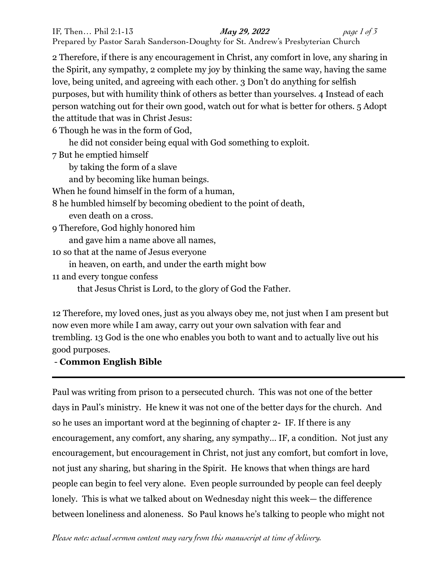2 Therefore, if there is any encouragement in Christ, any comfort in love, any sharing in the Spirit, any sympathy, 2 complete my joy by thinking the same way, having the same love, being united, and agreeing with each other. 3 Don't do anything for selfish purposes, but with humility think of others as better than yourselves. 4 Instead of each person watching out for their own good, watch out for what is better for others. 5 Adopt the attitude that was in Christ Jesus:

6 Though he was in the form of God,

he did not consider being equal with God something to exploit.

7 But he emptied himself

by taking the form of a slave

and by becoming like human beings.

When he found himself in the form of a human,

8 he humbled himself by becoming obedient to the point of death,

even death on a cross.

9 Therefore, God highly honored him

and gave him a name above all names,

10 so that at the name of Jesus everyone

in heaven, on earth, and under the earth might bow

11 and every tongue confess

that Jesus Christ is Lord, to the glory of God the Father.

12 Therefore, my loved ones, just as you always obey me, not just when I am present but now even more while I am away, carry out your own salvation with fear and trembling. 13 God is the one who enables you both to want and to actually live out his good purposes.

## - **Common English Bible**

Paul was writing from prison to a persecuted church. This was not one of the better days in Paul's ministry. He knew it was not one of the better days for the church. And so he uses an important word at the beginning of chapter 2- IF. If there is any encouragement, any comfort, any sharing, any sympathy… IF, a condition. Not just any encouragement, but encouragement in Christ, not just any comfort, but comfort in love, not just any sharing, but sharing in the Spirit. He knows that when things are hard people can begin to feel very alone. Even people surrounded by people can feel deeply lonely. This is what we talked about on Wednesday night this week— the difference between loneliness and aloneness. So Paul knows he's talking to people who might not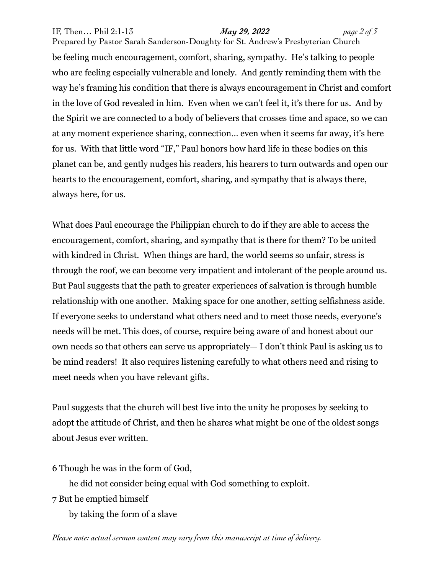## IF, Then… Phil 2:1-13 *May 29, 2022 page 2 of 3*

Prepared by Pastor Sarah Sanderson-Doughty for St. Andrew's Presbyterian Church be feeling much encouragement, comfort, sharing, sympathy. He's talking to people who are feeling especially vulnerable and lonely. And gently reminding them with the way he's framing his condition that there is always encouragement in Christ and comfort in the love of God revealed in him. Even when we can't feel it, it's there for us. And by the Spirit we are connected to a body of believers that crosses time and space, so we can at any moment experience sharing, connection… even when it seems far away, it's here for us. With that little word "IF," Paul honors how hard life in these bodies on this planet can be, and gently nudges his readers, his hearers to turn outwards and open our hearts to the encouragement, comfort, sharing, and sympathy that is always there, always here, for us.

What does Paul encourage the Philippian church to do if they are able to access the encouragement, comfort, sharing, and sympathy that is there for them? To be united with kindred in Christ. When things are hard, the world seems so unfair, stress is through the roof, we can become very impatient and intolerant of the people around us. But Paul suggests that the path to greater experiences of salvation is through humble relationship with one another. Making space for one another, setting selfishness aside. If everyone seeks to understand what others need and to meet those needs, everyone's needs will be met. This does, of course, require being aware of and honest about our own needs so that others can serve us appropriately— I don't think Paul is asking us to be mind readers! It also requires listening carefully to what others need and rising to meet needs when you have relevant gifts.

Paul suggests that the church will best live into the unity he proposes by seeking to adopt the attitude of Christ, and then he shares what might be one of the oldest songs about Jesus ever written.

6 Though he was in the form of God,

he did not consider being equal with God something to exploit.

7 But he emptied himself

by taking the form of a slave